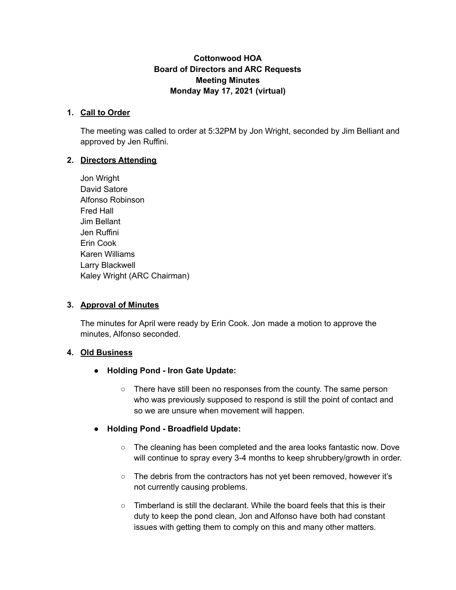### **Cottonwood HOA Board of Directors and ARC Requests Meeting Minutes Monday May 17, 2021 (virtual)**

#### **1. Call to Order**

The meeting was called to order at 5:32PM by Jon Wright, seconded by Jim Belliant and approved by Jen Ruffini.

#### **2. Directors Attending**

Jon Wright David Satore Alfonso Robinson Fred Hall Jim Bellant Jen Ruffini Erin Cook Karen Williams Larry Blackwell Kaley Wright (ARC Chairman)

### **3. Approval of Minutes**

The minutes for April were ready by Erin Cook. Jon made a motion to approve the minutes, Alfonso seconded.

### **4. Old Business**

- **● Holding Pond - Iron Gate Update:**
	- **○** There have still been no responses from the county. The same person who was previously supposed to respond is still the point of contact and so we are unsure when movement will happen.
- **● Holding Pond - Broadfield Update:**
	- **○** The cleaning has been completed and the area looks fantastic now. Dove will continue to spray every 3-4 months to keep shrubbery/growth in order.
	- The debris from the contractors has not yet been removed, however it's not currently causing problems.
	- $\circ$  Timberland is still the declarant. While the board feels that this is their duty to keep the pond clean, Jon and Alfonso have both had constant issues with getting them to comply on this and many other matters.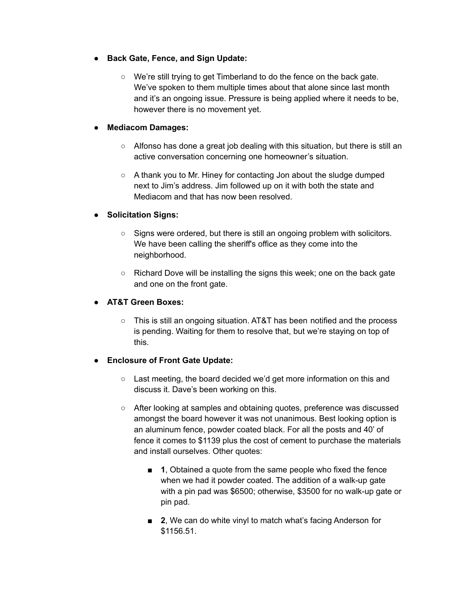- **● Back Gate, Fence, and Sign Update:**
	- **○** We're still trying to get Timberland to do the fence on the back gate. We've spoken to them multiple times about that alone since last month and it's an ongoing issue. Pressure is being applied where it needs to be, however there is no movement yet.

#### **● Mediacom Damages:**

- **○** Alfonso has done a great job dealing with this situation, but there is still an active conversation concerning one homeowner's situation.
- A thank you to Mr. Hiney for contacting Jon about the sludge dumped next to Jim's address. Jim followed up on it with both the state and Mediacom and that has now been resolved.

### **● Solicitation Signs:**

- **○** Signs were ordered, but there is still an ongoing problem with solicitors. We have been calling the sheriff's office as they come into the neighborhood.
- **○** Richard Dove will be installing the signs this week; one on the back gate and one on the front gate.

### **● AT&T Green Boxes:**

○ This is still an ongoing situation. AT&T has been notified and the process is pending. Waiting for them to resolve that, but we're staying on top of this.

### **● Enclosure of Front Gate Update:**

- Last meeting, the board decided we'd get more information on this and discuss it. Dave's been working on this.
- **○** After looking at samples and obtaining quotes, preference was discussed amongst the board however it was not unanimous. Best looking option is an aluminum fence, powder coated black. For all the posts and 40' of fence it comes to \$1139 plus the cost of cement to purchase the materials and install ourselves. Other quotes:
	- **1**, Obtained a quote from the same people who fixed the fence when we had it powder coated. The addition of a walk-up gate with a pin pad was \$6500; otherwise, \$3500 for no walk-up gate or pin pad.
	- **2**, We can do white vinyl to match what's facing Anderson for \$1156.51.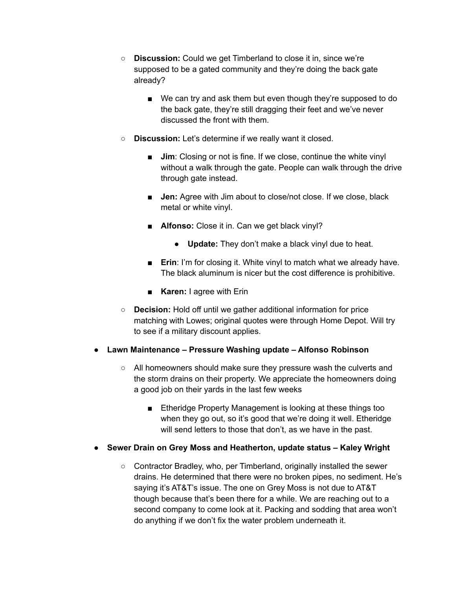- **Discussion:** Could we get Timberland to close it in, since we're supposed to be a gated community and they're doing the back gate already?
	- We can try and ask them but even though they're supposed to do the back gate, they're still dragging their feet and we've never discussed the front with them.
- **Discussion:** Let's determine if we really want it closed.
	- **Jim**: Closing or not is fine. If we close, continue the white vinyl without a walk through the gate. People can walk through the drive through gate instead.
	- **Jen:** Agree with Jim about to close/not close. If we close, black metal or white vinyl.
	- **Alfonso:** Close it in. Can we get black vinyl?
		- **Update:** They don't make a black vinyl due to heat.
	- **Erin**: I'm for closing it. White vinyl to match what we already have. The black aluminum is nicer but the cost difference is prohibitive.
	- **Karen:** I agree with Erin
- **Decision:** Hold off until we gather additional information for price matching with Lowes; original quotes were through Home Depot. Will try to see if a military discount applies.

### **● Lawn Maintenance – Pressure Washing update – Alfonso Robinson**

- All homeowners should make sure they pressure wash the culverts and the storm drains on their property. We appreciate the homeowners doing a good job on their yards in the last few weeks
	- Etheridge Property Management is looking at these things too when they go out, so it's good that we're doing it well. Etheridge will send letters to those that don't, as we have in the past.
- **● Sewer Drain on Grey Moss and Heatherton, update status – Kaley Wright**
	- **○** Contractor Bradley, who, per Timberland, originally installed the sewer drains. He determined that there were no broken pipes, no sediment. He's saying it's AT&T's issue. The one on Grey Moss is not due to AT&T though because that's been there for a while. We are reaching out to a second company to come look at it. Packing and sodding that area won't do anything if we don't fix the water problem underneath it.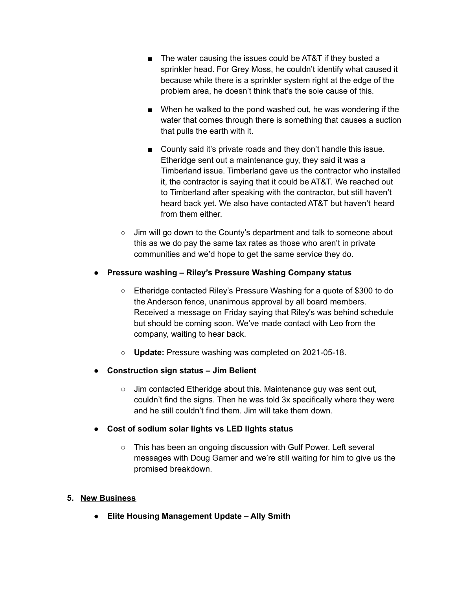- The water causing the issues could be AT&T if they busted a sprinkler head. For Grey Moss, he couldn't identify what caused it because while there is a sprinkler system right at the edge of the problem area, he doesn't think that's the sole cause of this.
- When he walked to the pond washed out, he was wondering if the water that comes through there is something that causes a suction that pulls the earth with it.
- County said it's private roads and they don't handle this issue. Etheridge sent out a maintenance guy, they said it was a Timberland issue. Timberland gave us the contractor who installed it, the contractor is saying that it could be AT&T. We reached out to Timberland after speaking with the contractor, but still haven't heard back yet. We also have contacted AT&T but haven't heard from them either.
- Jim will go down to the County's department and talk to someone about this as we do pay the same tax rates as those who aren't in private communities and we'd hope to get the same service they do.

# **● Pressure washing – Riley's Pressure Washing Company status**

- Etheridge contacted Riley's Pressure Washing for a quote of \$300 to do the Anderson fence, unanimous approval by all board members. Received a message on Friday saying that Riley's was behind schedule but should be coming soon. We've made contact with Leo from the company, waiting to hear back.
- **○ Update:** Pressure washing was completed on 2021-05-18.
- **● Construction sign status – Jim Belient**
	- Jim contacted Etheridge about this. Maintenance guy was sent out, couldn't find the signs. Then he was told 3x specifically where they were and he still couldn't find them. Jim will take them down.
- **● Cost of sodium solar lights vs LED lights status**
	- **○** This has been an ongoing discussion with Gulf Power. Left several messages with Doug Garner and we're still waiting for him to give us the promised breakdown.

### **5. New Business**

**● Elite Housing Management Update – Ally Smith**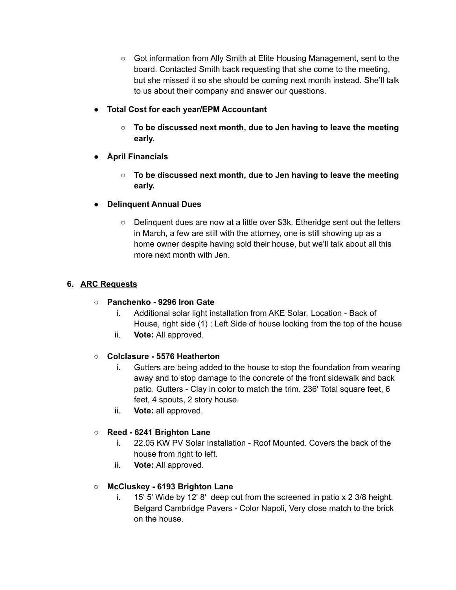- Got information from Ally Smith at Elite Housing Management, sent to the board. Contacted Smith back requesting that she come to the meeting, but she missed it so she should be coming next month instead. She'll talk to us about their company and answer our questions.
- **● Total Cost for each year/EPM Accountant**
	- **○ To be discussed next month, due to Jen having to leave the meeting early.**
- **● April Financials**
	- **○ To be discussed next month, due to Jen having to leave the meeting early.**
- **● Delinquent Annual Dues**
	- **○** Delinquent dues are now at a little over \$3k. Etheridge sent out the letters in March, a few are still with the attorney, one is still showing up as a home owner despite having sold their house, but we'll talk about all this more next month with Jen.

#### **6. ARC Requests**

#### ○ **Panchenko - 9296 Iron Gate**

- i. Additional solar light installation from AKE Solar. Location Back of House, right side (1) ; Left Side of house looking from the top of the house
- ii. **Vote:** All approved.

### ○ **Colclasure - 5576 Heatherton**

- i. Gutters are being added to the house to stop the foundation from wearing away and to stop damage to the concrete of the front sidewalk and back patio. Gutters - Clay in color to match the trim. 236' Total square feet, 6 feet, 4 spouts, 2 story house.
- ii. **Vote:** all approved.

### ○ **Reed - 6241 Brighton Lane**

- i. 22.05 KW PV Solar Installation Roof Mounted. Covers the back of the house from right to left.
- ii. **Vote:** All approved.

### ○ **McCluskey - 6193 Brighton Lane**

i. 15' 5' Wide by 12' 8' deep out from the screened in patio x 2 3/8 height. Belgard Cambridge Pavers - Color Napoli, Very close match to the brick on the house.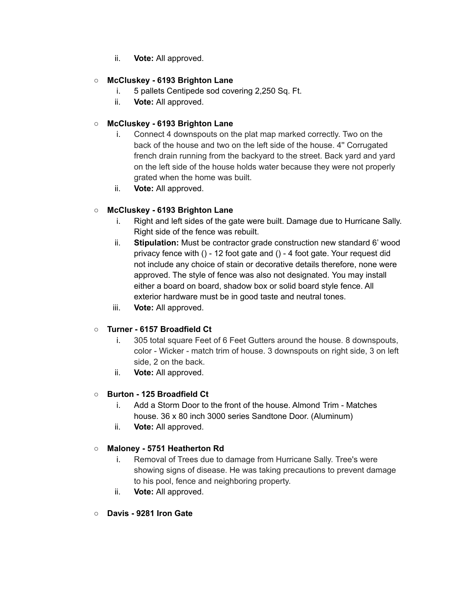ii. **Vote:** All approved.

# ○ **McCluskey - 6193 Brighton Lane**

- i. 5 pallets Centipede sod covering 2,250 Sq. Ft.
- ii. **Vote:** All approved.

# ○ **McCluskey - 6193 Brighton Lane**

- i. Connect 4 downspouts on the plat map marked correctly. Two on the back of the house and two on the left side of the house. 4'' Corrugated french drain running from the backyard to the street. Back yard and yard on the left side of the house holds water because they were not properly grated when the home was built.
- ii. **Vote:** All approved.

# ○ **McCluskey - 6193 Brighton Lane**

- i. Right and left sides of the gate were built. Damage due to Hurricane Sally. Right side of the fence was rebuilt.
- ii. **Stipulation:** Must be contractor grade construction new standard 6' wood privacy fence with () - 12 foot gate and () - 4 foot gate. Your request did not include any choice of stain or decorative details therefore, none were approved. The style of fence was also not designated. You may install either a board on board, shadow box or solid board style fence. All exterior hardware must be in good taste and neutral tones.
- iii. **Vote:** All approved.

# ○ **Turner - 6157 Broadfield Ct**

- i. 305 total square Feet of 6 Feet Gutters around the house. 8 downspouts, color - Wicker - match trim of house. 3 downspouts on right side, 3 on left side, 2 on the back.
- ii. **Vote:** All approved.

# ○ **Burton - 125 Broadfield Ct**

- i. Add a Storm Door to the front of the house. Almond Trim Matches house. 36 x 80 inch 3000 series Sandtone Door. (Aluminum)
- ii. **Vote:** All approved.

### ○ **Maloney - 5751 Heatherton Rd**

- i. Removal of Trees due to damage from Hurricane Sally. Tree's were showing signs of disease. He was taking precautions to prevent damage to his pool, fence and neighboring property.
- ii. **Vote:** All approved.
- **Davis - 9281 Iron Gate**